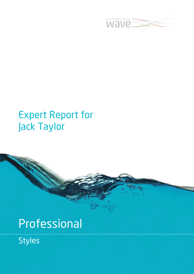

## Expert Report for Jack Taylor

# Professional

Styles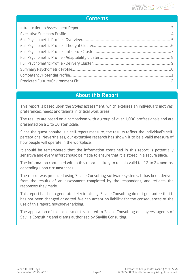

## **Contents**

## About this Report

This report is based upon the Styles assessment, which explores an individual's motives, preferences, needs and talents in critical work areas.

The results are based on a comparison with a group of over 1,000 professionals and are presented on a 1 to 10 sten scale.

Since the questionnaire is a self-report measure, the results reflect the individual's selfperceptions. Nevertheless, our extensive research has shown it to be a valid measure of how people will operate in the workplace.

It should be remembered that the information contained in this report is potentially sensitive and every effort should be made to ensure that it is stored in a secure place.

The information contained within this report is likely to remain valid for 12 to 24 months, depending upon circumstances.

The report was produced using Saville Consulting software systems. It has been derived from the results of an assessment completed by the respondent, and reflects the responses they made.

This report has been generated electronically. Saville Consulting do not guarantee that it has not been changed or edited. We can accept no liability for the consequences of the use of this report, howsoever arising.

The application of this assessment is limited to Saville Consulting employees, agents of Saville Consulting and clients authorised by Saville Consulting.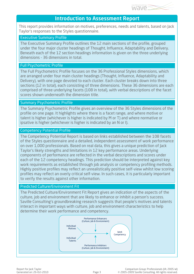

## Introduction to Assessment Report

This report provides information on motives, preferences, needs and talents, based on Jack Taylor's responses to the Styles questionnaire.

#### Executive Summary Profile

The Executive Summary Profile outlines the 12 main sections of the profile, grouped under the four major cluster headings of Thought, Influence, Adaptability and Delivery. Beneath each of the 12 section headings information is given on the three underlying dimensions - 36 dimensions in total.

#### Full Psychometric Profile

The Full Psychometric Profile focuses on the 36 Professional Styles dimensions, which are arranged under four main cluster headings (Thought, Influence, Adaptability and Delivery), with one page devoted to each cluster. Each cluster breaks down into three sections (12 in total), each consisting of three dimensions. These 36 dimensions are each comprised of three underlying facets (108 in total), with verbal descriptions of the facet scores shown underneath the dimension title.

#### Summary Psychometric Profile

The Summary Psychometric Profile gives an overview of the 36 Styles dimensions of the profile on one page. It highlights where there is a facet range, and where motive or talent is higher (whichever is higher is indicated by M or T) and where normative or ipsative is higher (whichever is higher is indicated by an N or I).

#### Competency Potential Profile

The Competency Potential Report is based on links established between the 108 facets of the Styles questionnaire and a detailed, independent assessment of work performance on over 1,000 professionals. Based on real data, this gives a unique prediction of Jack Taylor's likely strengths and limitations in 12 key performance areas. Underlying components of performance are reflected in the verbal descriptions and scores under each of the 12 competency headings. This prediction should be interpreted against key work requirements as established through job analysis or competency profiling methods. Highly positive profiles may reflect an unrealistically positive self-view whilst low scoring profiles may reflect an overly critical self-view. In such cases, it is particularly important to verify the results against other information.

#### Predicted Culture/Environment Fit

The Predicted Culture/Environment Fit Report gives an indication of the aspects of the culture, job and environment that are likely to enhance or inhibit a person's success. Saville Consulting's groundbreaking research suggests that people's motives and talents interact in important ways with culture, job and environment characteristics to help determine their work performance and competency.

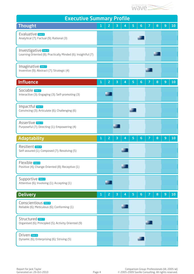

| <b>Executive Summary Profile</b>                                                      |              |                |   |   |   |                |  |   |                |    |
|---------------------------------------------------------------------------------------|--------------|----------------|---|---|---|----------------|--|---|----------------|----|
| <b>Thought</b>                                                                        | $\mathbf{1}$ | 2              | 3 | 4 | 5 | $6\phantom{1}$ |  | 8 | 9              | 10 |
| Evaluative Sten 6<br>Analytical (7); Factual (9); Rational (3)                        |              |                |   |   |   |                |  |   |                |    |
| Investigative Sten 8<br>Learning Oriented (8); Practically Minded (6); Insightful (7) |              |                |   |   |   |                |  |   |                |    |
| Imaginative Sten 7<br>Inventive (9); Abstract (7); Strategic (4)                      |              |                |   |   |   |                |  |   |                |    |
| <b>Influence</b>                                                                      | 1            | 2              | 3 | 4 | 5 | 6              |  | 8 | 9              | 10 |
| Sociable [sten 2]<br>Interactive (3); Engaging (3); Self-promoting (3)                |              |                |   |   |   |                |  |   |                |    |
| Impactful Sten 5<br>Convincing (3); Articulate (6); Challenging (6)                   |              |                |   |   |   |                |  |   |                |    |
| <b>Assertive</b> Sten 3<br>Purposeful (7); Directing (1); Empowering (4)              |              |                |   |   |   |                |  |   |                |    |
| <b>Adaptability</b>                                                                   | $\mathbf{1}$ | $\overline{c}$ | з | 4 | 5 | 6              |  | 8 | $\overline{9}$ | 10 |
| Resilient Sten 4<br>Self-assured (1); Composed (7); Resolving (5)                     |              |                |   |   |   |                |  |   |                |    |
| Flexible Sten 4<br>Positive (4); Change Oriented (8); Receptive (1)                   |              |                |   |   |   |                |  |   |                |    |
| Supportive Sten 2<br>Attentive (6); Involving (1); Accepting (1)                      |              |                |   |   |   |                |  |   |                |    |
| <b>Delivery</b>                                                                       | 1            | $\overline{c}$ | з | 4 | 5 | $6\phantom{1}$ |  | 8 | $\overline{9}$ | 10 |
| Conscientious Sten 4<br>Reliable (6); Meticulous (6); Conforming (1)                  |              |                |   |   |   |                |  |   |                |    |
| Structured Sten 7<br>Organised (6); Principled (5); Activity Oriented (9)             |              |                |   |   |   |                |  |   |                |    |
| Driven Sten 6<br>Dynamic (6); Enterprising (6); Striving (5)                          |              |                |   |   |   |                |  |   |                |    |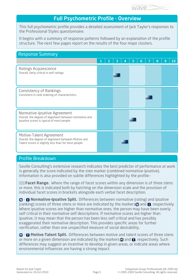

## Full Psychometric Profile - Overview

This full psychometric profile provides a detailed assessment of Jack Taylor's responses to the Professional Styles questionnaire.

It begins with a summary of response patterns followed by an explanation of the profile structure. The next few pages report on the results of the four major clusters.

| <b>Response Summary</b>                                                                                                               |  |   |   |   |    |
|---------------------------------------------------------------------------------------------------------------------------------------|--|---|---|---|----|
|                                                                                                                                       |  | 4 | 6 | 8 | 10 |
| <b>Ratings Acquiescence</b><br>Overall, fairly critical in self-ratings                                                               |  |   |   |   |    |
| <b>Consistency of Rankings</b><br>Consistent in rank ordering of characteristics                                                      |  |   |   |   |    |
| Normative-Ipsative Agreement<br>Overall, the degree of alignment between normative and<br>ipsative scores is typical of most people   |  |   |   |   |    |
| Motive-Talent Agreement<br>Overall, the degree of alignment between Motive and<br>Talent scores is slightly less than for most people |  |   |   |   |    |

### Profile Breakdown

Saville Consulting's extensive research indicates the best predictor of performance at work is generally the score indicated by the sten marker (combined normative-ipsative). Information is also provided on subtle differences highlighted by the profile:-

**Facet Range.** Where the range of facet scores within any dimension is of three stens or more, this is indicated both by hatching on the dimension scale and the provision of individual facet scores in brackets alongside each verbal facet description.

 - **Normative-Ipsative Split.** Differences between normative (rating) and ipsative (ranking) scores of three stens or more are indicated by the markers  $\mathbf n$  and  $\mathbf n$ , respectively. Where ipsative scores are higher than normative ones, the person may have been overly self critical in their normative self descriptions. If normative scores are higher than ipsative, it may mean that the person has been less self critical and has possibly exaggerated their normative description. This provides specific areas for further verification, rather than one unspecified measure of social desirability.

 - **Motive-Talent Split.** Differences between motive and talent scores of three stens or more on a given dimension are indicated by the markers  $\blacksquare$  and  $\blacksquare$ , respectively. Such differences may suggest an incentive to develop in given areas, or indicate areas where environmental influences are having a strong impact.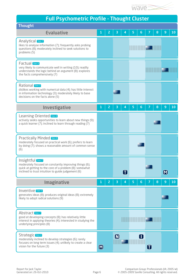

| <b>Full Psychometric Profile - Thought Cluster</b> |  |
|----------------------------------------------------|--|
|                                                    |  |

| <b>Thought</b>                                                                                                                                                                               |                   |                |                   |             |   |                                   |   |   |                   |    |
|----------------------------------------------------------------------------------------------------------------------------------------------------------------------------------------------|-------------------|----------------|-------------------|-------------|---|-----------------------------------|---|---|-------------------|----|
| <b>Evaluative</b>                                                                                                                                                                            | 1                 | 2              | З                 | 4           | 5 | 6                                 |   | 8 | 9                 | 10 |
| <b>Analytical</b> Sten 7<br>likes to analyse information (7); frequently asks probing<br>questions (8); moderately inclined to seek solutions to<br>problems (5)                             |                   |                |                   |             |   |                                   |   |   |                   |    |
| Factual Sten 9<br>very likely to communicate well in writing (10); readily<br>understands the logic behind an argument (8); explores<br>the facts comprehensively (7)                        |                   |                |                   |             |   |                                   |   |   |                   |    |
| Rational Sten 3<br>dislikes working with numerical data (4); has little interest<br>in information technology (3); moderately likely to base<br>decisions on the facts alone (5)             |                   |                |                   |             |   |                                   |   |   |                   |    |
| <b>Investigative</b>                                                                                                                                                                         | 1                 | $\overline{2}$ | з                 | 4           | 5 | 6                                 |   | 8 | $\overline{9}$    | 10 |
| Learning Oriented Sten 8<br>actively seeks opportunities to learn about new things (9);<br>a quick learner (7); inclined to learn through reading (7)                                        |                   |                |                   |             |   |                                   |   |   |                   |    |
| <b>Practically Minded Sten 6</b><br>moderately focused on practical work (6); prefers to learn<br>by doing (7); shows a reasonable amount of common sense<br>(6)                             |                   |                |                   |             |   |                                   |   |   |                   |    |
| Insightful Sten 7<br>moderately focused on constantly improving things (6);<br>quick at getting to the core of a problem (8); somewhat<br>inclined to trust intuition to guide judgement (6) |                   |                |                   | $\mathbf T$ |   |                                   |   |   | $\bm{\mathsf{M}}$ |    |
| <b>Imaginative</b>                                                                                                                                                                           | 1                 | $\overline{2}$ | з                 | 4           | 5 | 6                                 |   | 8 | 9                 | 10 |
| Inventive Sten 9<br>generates ideas (8); produces original ideas (8); extremely<br>likely to adopt radical solutions (9)                                                                     |                   |                |                   |             |   |                                   |   |   |                   |    |
| Abstract Sten 7<br>good at developing concepts (8); has relatively little<br>interest in applying theories (4); interested in studying the<br>underlying principles (8)                      |                   |                |                   |             |   | <b>TITULI III III III III III</b> |   |   |                   |    |
| <b>Strategic Sten 4</b><br>moderately inclined to develop strategies (6); rarely<br>focuses on long term issues (4); unlikely to create a clear<br>vision for the future (3)                 | $\bm{\mathsf{M}}$ |                | $\bm{\mathsf{M}}$ |             |   | $\blacksquare$                    | 0 |   |                   |    |
|                                                                                                                                                                                              |                   |                |                   |             |   |                                   |   |   |                   |    |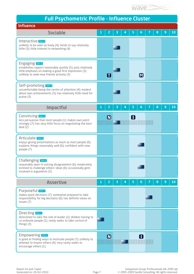

|  | <b>Full Psychometric Profile - Influence Cluster</b> |  |  |
|--|------------------------------------------------------|--|--|
|  |                                                      |  |  |
|  |                                                      |  |  |

| <b>Influence</b>                                                                                                                                                                             |   |                   |   |                |   |                   |   |   |   |    |
|----------------------------------------------------------------------------------------------------------------------------------------------------------------------------------------------|---|-------------------|---|----------------|---|-------------------|---|---|---|----|
| <b>Sociable</b>                                                                                                                                                                              | 1 | $\overline{c}$    | з | 4              | 5 | 6                 | 7 | 8 | 9 | 10 |
| Interactive Sten 3<br>unlikely to be seen as lively (4); tends to say relatively<br>little (3); little interest in networking (4)                                                            |   |                   |   |                |   |                   |   |   |   |    |
| <b>Engaging</b> Sten 3<br>establishes rapport reasonably quickly (5); puts relatively<br>little emphasis on making a good first impression (3);<br>unlikely to seek new friends actively (3) |   | $\bf \bf I$       |   |                |   | $\bm{\mathsf{M}}$ |   |   |   |    |
| Self-promoting Sten 3<br>uncomfortable being the centre of attention (4); modest<br>about own achievements (3); has relatively little need for<br>praise (3)                                 |   |                   |   |                |   |                   |   |   |   |    |
| <b>Impactful</b>                                                                                                                                                                             | 1 | $\overline{2}$    | з | 4              | 5 | 6                 |   | 8 | 9 | 10 |
| <b>Convincing</b> Sten 3<br>less persuasive than most people (1); makes own point<br>strongly (7); has very little focus on negotiating the best<br>deal (2)                                 |   | $\blacksquare$    |   |                | ı |                   |   |   |   |    |
| Articulate Sten 6<br>enjoys giving presentations as much as most people (6);<br>explains things reasonably well (6); confident with new<br>people (7)                                        |   |                   |   |                |   |                   |   |   |   |    |
| <b>Challenging Sten 6</b><br>reasonably open in voicing disagreement (6); moderately<br>inclined to challenge others' ideas (6); occasionally gets<br>involved in arguments (5)              |   |                   |   |                |   |                   |   |   |   |    |
| <b>Assertive</b>                                                                                                                                                                             | 1 | $\overline{2}$    | 3 | $\overline{4}$ | 5 | 6                 |   | 8 | 9 | 10 |
| Purposeful Sten 7<br>makes quick decisions (7); somewhat prepared to take<br>responsibility for big decisions (6); has definite views on<br>issues (7)                                       |   |                   |   |                |   |                   |   |   |   |    |
| Directing <b>Sten 1</b><br>disinclined to take the role of leader (2); dislikes having to<br>co-ordinate people (1); rarely seeks to take control of<br>things $(3)$                         |   |                   |   |                |   |                   |   |   |   |    |
| <b>Empowering</b> Sten 4<br>is good at finding ways to motivate people (7); unlikely to<br>attempt to inspire others (4); very rarely seeks to<br>encourage others (1)                       |   | $\bm{\mathsf{N}}$ |   |                |   | П                 |   |   |   |    |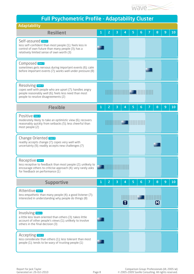

| <b>Full Psychometric Profile - Adaptability Cluster</b>                                                                                                                             |   |   |  |   |              |   |                                                                                                                       |  |                   |   |    |
|-------------------------------------------------------------------------------------------------------------------------------------------------------------------------------------|---|---|--|---|--------------|---|-----------------------------------------------------------------------------------------------------------------------|--|-------------------|---|----|
| <b>Adaptability</b>                                                                                                                                                                 |   |   |  |   |              |   |                                                                                                                       |  |                   |   |    |
| <b>Resilient</b>                                                                                                                                                                    |   | 2 |  | 3 | 4            | 5 | 6                                                                                                                     |  | 8                 | 9 | 10 |
| Self-assured Sten 1<br>less self-confident than most people (1); feels less in<br>control of own future than many people (3); has a<br>relatively limited sense of own worth (3)    |   |   |  |   |              |   |                                                                                                                       |  |                   |   |    |
| Composed Sten 7<br>sometimes gets nervous during important events (6); calm<br>before important events (7); works well under pressure (8)                                           |   |   |  |   |              |   |                                                                                                                       |  |                   |   |    |
| <b>Resolving</b> Sten 5<br>copes well with people who are upset (7); handles angry<br>people reasonably well (6); feels less need than most<br>people to resolve disagreements (2)  |   |   |  |   |              |   | <u> HIII III III III III III II III II III II II II II II II II II II II II II II II II II II II II II II II II I</u> |  |                   |   |    |
| <b>Flexible</b>                                                                                                                                                                     | 1 | 2 |  | з | 4            | 5 | 6                                                                                                                     |  | 8                 | 9 | 10 |
| Positive Sten 4<br>moderately likely to take an optimistic view (6); recovers<br>reasonably quickly from setbacks (5); less cheerful than<br>most people (2)                        |   |   |  |   | IIII (W) III |   |                                                                                                                       |  |                   |   |    |
| <b>Change Oriented Sten 8</b><br>readily accepts change (7); copes very well with<br>uncertainty (9); readily accepts new challenges (7)                                            |   |   |  |   |              |   |                                                                                                                       |  |                   |   |    |
| Receptive Sten 1<br>less receptive to feedback than most people (2); unlikely to<br>encourage others to criticise approach (4); very rarely asks<br>for feedback on performance (1) |   |   |  |   |              |   |                                                                                                                       |  |                   |   |    |
| <b>Supportive</b>                                                                                                                                                                   | 1 | 2 |  | з | 4            | 5 | 6                                                                                                                     |  | 8                 | 9 | 10 |
| Attentive Sten 6<br>less empathetic than many people (4); a good listener (7);<br>interested in understanding why people do things (8)                                              |   |   |  |   |              |   |                                                                                                                       |  | $\bm{\mathsf{M}}$ |   |    |
| Involving Sten 1<br>a little less team oriented than others (3); takes little<br>account of other people's views (1); unlikely to involve<br>others in the final decision (3)       |   |   |  |   |              |   |                                                                                                                       |  |                   |   |    |
| <b>Accepting</b> Sten 1<br>less considerate than others (1); less tolerant than most<br>people (1); tends to be wary of trusting people (1)                                         |   |   |  |   |              |   |                                                                                                                       |  |                   |   |    |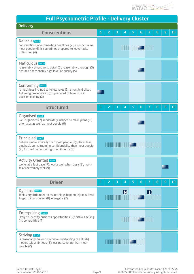

|  | <b>Full Psychometric Profile - Delivery Cluster</b> |  |
|--|-----------------------------------------------------|--|
|  |                                                     |  |

| <b>Delivery</b>                                                                                                                                                                               |   |                |   |                           |   |                            |   |   |   |    |
|-----------------------------------------------------------------------------------------------------------------------------------------------------------------------------------------------|---|----------------|---|---------------------------|---|----------------------------|---|---|---|----|
| <b>Conscientious</b>                                                                                                                                                                          | 1 | $\overline{2}$ | з | 4                         | 5 | 6                          | 7 | 8 | 9 | 10 |
| Reliable Sten 6<br>conscientious about meeting deadlines (7); as punctual as<br>most people (6); is sometimes prepared to leave tasks<br>unfinished (4)                                       |   |                |   |                           |   |                            |   |   |   |    |
| Meticulous Sten 6<br>reasonably attentive to detail (6); reasonably thorough (5);<br>ensures a reasonably high level of quality (5)                                                           |   |                |   |                           |   |                            |   |   |   |    |
| Conforming Sten 1<br>is much less inclined to follow rules (2); strongly dislikes<br>following procedures (2); is prepared to take risks in<br>decision making (2)                            |   |                |   |                           |   |                            |   |   |   |    |
| <b>Structured</b>                                                                                                                                                                             | 1 | 2              | 3 | 4                         | 5 | 6                          |   | 8 | 9 | 10 |
| Organised Sten 6<br>well organised (7); moderately inclined to make plans (5);<br>prioritises as well as most people (6)                                                                      |   |                |   |                           |   |                            |   |   |   |    |
| <b>Principled</b> Sten 5<br>behaves more ethically than most people (7); places less<br>emphasis on maintaining confidentiality than most people<br>(2); focused on honouring commitments (8) |   |                |   | IN IN INC IN              |   |                            |   |   |   |    |
| <b>Activity Oriented Sten 9</b><br>works at a fast pace (7); works well when busy (8); multi-<br>tasks extremely well (9)                                                                     |   |                |   |                           |   |                            |   |   |   |    |
| <b>Driven</b>                                                                                                                                                                                 |   | 2              | з | 4                         | 5 | 6                          |   | 8 | 9 | 10 |
| Dynamic <b>Sten 6</b><br>feels very little need to make things happen (2); impatient<br>to get things started (8); energetic (7)                                                              |   |                |   | $\boldsymbol{\mathsf{M}}$ |   |                            | O |   |   |    |
| <b>Enterprising</b> Sten 6<br>likely to identify business opportunities (7); dislikes selling<br>$(4)$ ; competitive $(7)$                                                                    |   |                |   |                           |   | <u>HIIII IIII KOZONNIN</u> |   |   |   |    |
| Striving <b>Sten 5</b><br>is reasonably driven to achieve outstanding results (6);<br>moderately ambitious (6); less persevering than most<br>people (2)                                      |   |                |   | <b>THE REAL PROPERTY</b>  |   |                            |   |   |   |    |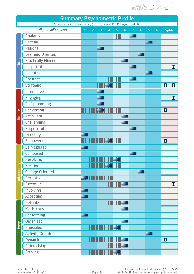

|                 | <b>Summary Psychometric Profile</b><br>Acquiescence (3) Consistency (7) N-I Agreement (5) M-T Agreement (4) |                                |                              |                       |              |                        |               |                |  |
|-----------------|-------------------------------------------------------------------------------------------------------------|--------------------------------|------------------------------|-----------------------|--------------|------------------------|---------------|----------------|--|
|                 | <b>Higher split shown</b>                                                                                   | $\overline{c}$<br>$\mathbf{1}$ | $\overline{\mathbf{3}}$<br>4 | 5<br>$\boldsymbol{6}$ | 8<br>7       | 10<br>$\boldsymbol{9}$ | <b>Splits</b> |                |  |
|                 | Analytical                                                                                                  |                                |                              |                       | <b>TILLE</b> |                        |               |                |  |
|                 | Factual                                                                                                     |                                |                              |                       |              |                        |               |                |  |
|                 | Rational                                                                                                    |                                |                              |                       |              |                        |               |                |  |
|                 | Learning Oriented                                                                                           |                                |                              |                       |              |                        |               |                |  |
| Thought         | <b>Practically Minded</b>                                                                                   |                                |                              |                       |              |                        |               |                |  |
|                 | Insightful                                                                                                  |                                |                              |                       |              |                        |               | $\blacksquare$ |  |
|                 | Inventive                                                                                                   |                                |                              |                       |              |                        |               |                |  |
|                 | Abstract                                                                                                    |                                |                              |                       |              |                        |               |                |  |
|                 | Strategic                                                                                                   |                                |                              |                       |              |                        | O             | O              |  |
|                 | Interactive                                                                                                 |                                |                              |                       |              |                        |               |                |  |
|                 | Engaging                                                                                                    |                                |                              |                       |              |                        |               | $\blacksquare$ |  |
|                 | Self-promoting                                                                                              |                                |                              |                       |              |                        |               |                |  |
|                 | Convincing                                                                                                  |                                |                              |                       |              |                        | O             |                |  |
| Influence       | Articulate                                                                                                  |                                |                              |                       |              |                        |               |                |  |
|                 | Challenging                                                                                                 |                                |                              |                       |              |                        |               |                |  |
|                 | Purposeful                                                                                                  |                                |                              |                       |              |                        |               |                |  |
|                 | Directing                                                                                                   |                                |                              |                       |              |                        |               |                |  |
|                 | Empowering                                                                                                  |                                |                              |                       |              |                        | 0             |                |  |
|                 | Self-assured                                                                                                |                                |                              |                       |              |                        |               |                |  |
|                 | Composed                                                                                                    |                                |                              |                       |              |                        |               |                |  |
|                 | Resolving                                                                                                   |                                |                              |                       |              |                        |               |                |  |
| Adaptability    | Positive                                                                                                    |                                |                              |                       |              |                        |               |                |  |
|                 | <b>Change Oriented</b>                                                                                      |                                |                              |                       |              |                        |               |                |  |
|                 | Receptive                                                                                                   |                                |                              |                       |              |                        |               |                |  |
|                 | Attentive                                                                                                   |                                |                              |                       |              |                        |               | $\blacksquare$ |  |
|                 | Involving                                                                                                   |                                |                              |                       |              |                        |               |                |  |
|                 | Accepting                                                                                                   |                                |                              |                       |              |                        |               |                |  |
|                 | Reliable                                                                                                    |                                |                              |                       |              |                        |               |                |  |
|                 | Meticulous                                                                                                  |                                |                              |                       |              |                        |               |                |  |
|                 | Conforming                                                                                                  |                                |                              |                       |              |                        |               |                |  |
|                 | Organised                                                                                                   |                                |                              |                       |              |                        |               |                |  |
| <b>Delivery</b> | Principled                                                                                                  |                                |                              |                       |              |                        |               |                |  |
|                 | <b>Activity Oriented</b>                                                                                    |                                |                              |                       |              |                        |               |                |  |
|                 | Dynamic                                                                                                     |                                |                              |                       |              |                        | O             |                |  |
|                 | <b>Enterprising</b>                                                                                         |                                |                              |                       |              |                        |               |                |  |
|                 | <b>Striving</b>                                                                                             |                                |                              |                       |              |                        |               |                |  |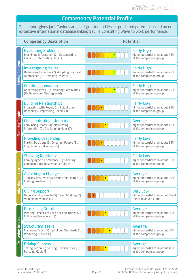

## Competency Potential Profile

This report gives Jack Taylor's areas of greater and lesser predicted potential based on our extensive international database linking Saville Consulting Wave to work performance.

|                                   | <b>Competency Description</b>                                                                                         | <b>Potential</b> |                                                                                  |  |  |  |  |  |  |  |
|-----------------------------------|-----------------------------------------------------------------------------------------------------------------------|------------------|----------------------------------------------------------------------------------|--|--|--|--|--|--|--|
|                                   | <b>Evaluating Problems</b><br>Examining Information (7); Documenting<br>Facts (9); Interpreting Data (4)              |                  | <b>Fairly High</b><br>higher potential than about 75%<br>of the comparison group |  |  |  |  |  |  |  |
| <b>Problems</b><br><b>Solving</b> | <b>Investigating Issues</b><br>Developing Expertise (7); Adopting Practical<br>Approaches (6); Providing Insights (6) |                  | <b>Fairly High</b><br>higher potential than about 75%<br>of the comparison group |  |  |  |  |  |  |  |
|                                   | <b>Creating Innovation</b><br>Generating Ideas (9); Exploring Possibilities<br>(8); Developing Strategies (4)         |                  | <b>Fairly High</b><br>higher potential than about 75%<br>of the comparison group |  |  |  |  |  |  |  |
|                                   | <b>Building Relationships</b><br>Interacting with People (4); Establishing<br>Rapport (5); Impressing People (3)      |                  | <b>Fairly Low</b><br>higher potential than about 25%<br>of the comparison group  |  |  |  |  |  |  |  |
| Influencing People                | <b>Communicating Information</b><br>Convincing People (4); Articulating<br>Information (5); Challenging Ideas (7)     |                  | Average<br>higher potential than about 40%<br>of the comparison group            |  |  |  |  |  |  |  |
|                                   | <b>Providing Leadership</b><br>Making Decisions (6); Directing People (2);<br>Empowering Individuals (5)              |                  | <b>Fairly Low</b><br>higher potential than about 25%<br>of the comparison group  |  |  |  |  |  |  |  |
| ပ္ပ<br>6                          | <b>Showing Resilience</b><br>Conveying Self-Confidence (2); Showing<br>Composure (8); Resolving Conflict (4)          |                  | <b>Fairly Low</b><br>higher potential than about 25%<br>of the comparison group  |  |  |  |  |  |  |  |
| poroa<br>50<br>Ξ                  | <b>Adjusting to Change</b><br>Thinking Positively (5); Embracing Change (7);<br>Inviting Feedback (3)                 | 5                | Average<br>higher potential than about 40%<br>of the comparison group            |  |  |  |  |  |  |  |
| ਫ਼                                | <b>Giving Support</b><br>Understanding People (5); Team Working (2);<br>Valuing Individuals (1)                       |                  | <b>Very Low</b><br>higher potential than about 5% of<br>the comparison group     |  |  |  |  |  |  |  |
|                                   | <b>Processing Details</b><br>Meeting Timescales (7); Checking Things (7);<br>Following Procedures (3)                 |                  | Average<br>higher potential than about 40%<br>of the comparison group            |  |  |  |  |  |  |  |
| Delivering Results                | <b>Structuring Tasks</b><br>Managing Tasks (5); Upholding Standards (4);<br>Producing Output (8)                      | 6                | Average<br>higher potential than about 60%<br>of the comparison group            |  |  |  |  |  |  |  |
|                                   | <b>Driving Success</b><br>Taking Action (6); Seizing Opportunities (5);<br>Pursuing Goals (5)                         |                  | Average<br>higher potential than about 40%<br>of the comparison group            |  |  |  |  |  |  |  |